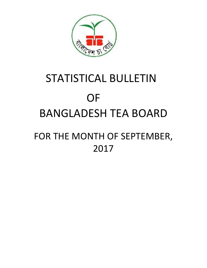

# STATISTICAL BULLETIN OF BANGLADESH TEA BOARD FOR THE MONTH OF SEPTEMBER, 2017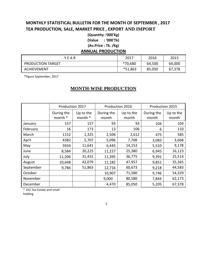### **MONTHLY STATISTICAL BULLETIN FOR THE MONTH OF SEPTEMBER , 2017 TEA PRODUCTION, SALE, MARKET PRICE , EXPORT AND IMPORT**

**(Quantity :'000'Kg) (Value : '000'Tk) (Av.Price : Tk. /Kg)**

#### **ANNUAL PRODUCTION**

| YFAR               | 2017    | 2016   | 2015   |
|--------------------|---------|--------|--------|
| PRODUCTION TARGET  | *70,680 | 64,500 | 64,000 |
| <b>ACHIEVEMENT</b> | *51,863 | 85,050 | 67,378 |

\*Figure September, 2017

#### **MONTH-WISE PRODUCTION**

|           | Production 2017       |                      |                     | Production 2016    | Production 2015     |                    |
|-----------|-----------------------|----------------------|---------------------|--------------------|---------------------|--------------------|
|           | During the<br>month * | Up to the<br>month * | During the<br>month | Up to the<br>month | During the<br>month | Up to the<br>month |
| January   | 157                   | 157                  | 93                  | 93                 | 104                 | 104                |
| February  | 16                    | 173                  | 13                  | 106                | 6                   | 110                |
| March     | 1152                  | 1,325                | 2,506               | 2,612              | 475                 | 585                |
| April     | 4382                  | 5,707                | 5,096               | 7,708              | 3,083               | 3,668              |
| May       | 5934                  | 11,641               | 6,445               | 14,153             | 5,510               | 9,178              |
| June      | 8,584                 | 20,225               | 11,227              | 25,380             | 6,945               | 16,123             |
| July      | 11,206                | 31,431               | 11,395              | 36,775             | 9,391               | 25,514             |
| August    | 10,648                | 42,079               | 11,182              | 47,957             | 9,851               | 35,365             |
| September | 9,784                 | 51,863               | 12,716              | 60,673             | 9,218               | 44,583             |
| October   |                       |                      | 10,907              | 71,580             | 9,746               | 54,329             |
| November  |                       |                      | 9,000               | 80,580             | 7,844               | 62,173             |
| December  |                       |                      | 4,470               | 85,050             | 5,205               | 67,378             |

\* 162 Tea Estate and small

holding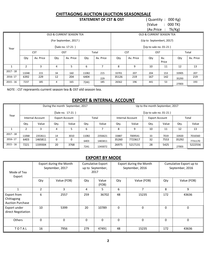## **CHITTAGONG AUCTION (AUCTION SEASON)SALE**<br>**STATEMENT OF CST & OST** (Quantity: 000 Kg)

#### **STATEMENT OF CST & OST**

 (Value : 000 TK) (Av.Price : Tk/Kg)

|             |       |            |     |                          |                          |                                     |                          |           |     |              | יש י  |           |  |
|-------------|-------|------------|-----|--------------------------|--------------------------|-------------------------------------|--------------------------|-----------|-----|--------------|-------|-----------|--|
|             |       |            |     | OLD & CURRENT SEASON TEA |                          |                                     | OLD & CURRENT SEASON TEA |           |     |              |       |           |  |
|             |       |            |     | (For September, 2017)    |                          |                                     | (Up to Septembert, 2017) |           |     |              |       |           |  |
| Year        |       |            |     | (Sale no. 17-21)         | $(Up to sale no. 01-21)$ |                                     |                          |           |     |              |       |           |  |
|             |       | <b>CST</b> | OST |                          |                          | <b>CST</b><br>Total<br>OST<br>Total |                          |           |     |              |       |           |  |
|             | Qty   | Av. Price  | Qty | Av. Price                | Qty                      | Av. Price                           | Qty                      | Av. Price | Qty | Av.<br>Price | Qty   | Av. Price |  |
|             | 2     | 3          | 4   | 5.                       | 6                        |                                     | 8                        | q         | 10  | 11           | 12    | 13        |  |
| $2017 - 18$ | 11048 | 215        | 34  | 160                      | 11082                    | 215                                 | 33701                    | 207       | 204 | 153          | 33905 | 207       |  |
| 2016-17     | 6392  | 229        | 12  | 204                      | 6404                     | 229                                 | 35126                    | 219       | 167 | 142          | 35293 | 219       |  |
| $2015 - 16$ | 7237  | 185        | 4   | 165                      | 7241                     | 185                                 | 26562                    | 196       | 441 | 53           | 27003 | 193       |  |

NOTE : CST represents current season tea & OST old season tea.

#### **EXPORT & INTERNAL ACCOUNT**

|             |       |                  |          | During the month September, 2017 |       |         | Up to the month September, 2017 |         |                       |       |       |         |
|-------------|-------|------------------|----------|----------------------------------|-------|---------|---------------------------------|---------|-----------------------|-------|-------|---------|
|             |       |                  |          | (Sale no. 17-21)                 |       |         | (Up to sale no. $01-21$ )       |         |                       |       |       |         |
| Year        |       | Internal Account |          | <b>Export Account</b>            | Total |         | Internal Account                |         | <b>Export Account</b> |       | Total |         |
|             | Qty.  | Value            | Qty.     | Value                            | Qty.  | Value   | Qty.                            | Value   | Qty.                  | Value | Qty.  | Value   |
|             | 2     | 3                | 4        | 5                                | 6     | ⇁       | 8                               | 9       | 10                    | 11    | 12    | 13      |
| $2017 - 18$ | 11068 | 2353611          | 14       | 3010                             | 11082 | 2356621 | 33887                           | 7009541 | 33                    | 7019  | 33920 | 7016560 |
| 2016-17     | 6403  | 1465811          | $\Omega$ | $\Omega$                         | 6403  | 1465811 | 35260                           | 7723617 | 32                    | 7553  | 35292 | 7731170 |
| $2015 - 16$ | 7221  | 1339304          | 20       | 3768                             | 7241  | 1343072 | 26975                           | 5217131 | 28                    | 5425  | 27003 | 5222556 |

#### **EXPORT BY MODE**

| Mode of Tea<br>Export                                | Export during the Month<br>September, 2017 |             | <b>Cumulative Export</b><br>up to September,<br>2017 |                |               | Export during the Month<br>September, 2016 | Cumulative Export up to<br>September, 2016 |             |  |
|------------------------------------------------------|--------------------------------------------|-------------|------------------------------------------------------|----------------|---------------|--------------------------------------------|--------------------------------------------|-------------|--|
|                                                      | Value (FOB)<br>Qty                         |             | Qty                                                  | Value<br>(FOB) | Qty           | Value (FOB)                                | Qty                                        | Value (FOB) |  |
|                                                      | $\overline{2}$                             | 3           | 4                                                    | 5.             | 6             | 7                                          | 8                                          | 9           |  |
| Export from<br>Chittagong<br><b>Auction Purchase</b> | 6                                          | 2557        | 259                                                  | 36702          | 48            | 15235                                      | 172                                        | 43636       |  |
| Export under<br>direct Negotiation                   | 10                                         | 5399        | 20                                                   | 10789          | $\Omega$      | 0                                          | $\Omega$                                   | $\Omega$    |  |
| <b>Others</b>                                        | $\Omega$                                   | $\mathbf 0$ | 0                                                    | $\Omega$       | 0<br>$\Omega$ |                                            | $\Omega$                                   | $\Omega$    |  |
| TOTAL                                                | 16                                         | 7956        | 279                                                  | 47491          | 48            | 15235                                      | 172                                        | 43636       |  |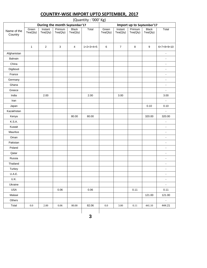|                        |                   |                               |                     |                          | (Quantity: '000' Kg) |                   |                     |                           |                          |                              |
|------------------------|-------------------|-------------------------------|---------------------|--------------------------|----------------------|-------------------|---------------------|---------------------------|--------------------------|------------------------------|
|                        |                   | During the month September'17 |                     |                          |                      |                   |                     | Import up to September'17 |                          |                              |
| Name of the<br>Country | Green<br>Tea(Qty) | Instant<br>Tea(Qty)           | Primium<br>Tea(Qty) | <b>Black</b><br>Tea(Qty) | Total                | Green<br>Tea(Qty) | Instant<br>Tea(Qty) | Primium<br>Tea(Qty)       | <b>Black</b><br>Tea(Qty) | Total                        |
|                        | $\mathbf{1}$      | $\sqrt{2}$                    | $\mathbf{3}$        | 4                        | $1+2+3+4=5$          | 6                 | $\overline{7}$      | 8                         | 9                        | $6+7+8+9=10$                 |
| Afghanistan            |                   |                               |                     |                          |                      |                   |                     |                           |                          | $\blacksquare$               |
| Bahrain                |                   |                               |                     |                          |                      |                   |                     |                           |                          | $\blacksquare$               |
| China                  |                   |                               |                     |                          |                      |                   |                     |                           |                          | ÷,                           |
| Digibouti              |                   |                               |                     |                          |                      |                   |                     |                           |                          | $\qquad \qquad \blacksquare$ |
| France                 |                   |                               |                     |                          |                      |                   |                     |                           |                          | $\qquad \qquad \blacksquare$ |
| Germany                |                   |                               |                     |                          |                      |                   |                     |                           |                          | $\blacksquare$               |
| Ghana                  |                   |                               |                     |                          |                      |                   |                     |                           |                          | $\blacksquare$               |
| Greece                 |                   |                               |                     |                          |                      |                   |                     |                           |                          | L.                           |
| India                  |                   | 2.00                          |                     |                          | 2.00                 |                   | 3.00                |                           |                          | 3.00                         |
| Iran                   |                   |                               |                     |                          |                      |                   |                     |                           |                          |                              |
| Japan                  |                   |                               |                     |                          |                      |                   |                     |                           | 0.10                     | 0.10                         |
| Kazakhstan             |                   |                               |                     |                          |                      |                   |                     |                           |                          | ÷.                           |
| Kenya                  |                   |                               |                     | 80.00                    | 80.00                |                   |                     |                           | 320.00                   | 320.00                       |
| K.S.A.                 |                   |                               |                     |                          |                      |                   |                     |                           |                          | $\overline{a}$               |
| Kuwait                 |                   |                               |                     |                          |                      |                   |                     |                           |                          | $\blacksquare$               |
| Mauritus               |                   |                               |                     |                          |                      |                   |                     |                           |                          | $\qquad \qquad \blacksquare$ |
| Oman                   |                   |                               |                     |                          |                      |                   |                     |                           |                          | $\blacksquare$               |
| Pakistan               |                   |                               |                     |                          |                      |                   |                     |                           |                          | $\blacksquare$               |
| Poland                 |                   |                               |                     |                          |                      |                   |                     |                           |                          | $\qquad \qquad \blacksquare$ |
| Qatar                  |                   |                               |                     |                          |                      |                   |                     |                           |                          | $\blacksquare$               |
| Russia                 |                   |                               |                     |                          |                      |                   |                     |                           |                          | $\blacksquare$               |
| Thailand               |                   |                               |                     |                          |                      |                   |                     |                           |                          | $\blacksquare$               |
| Turkey                 |                   |                               |                     |                          |                      |                   |                     |                           |                          |                              |
| U.A.E.                 |                   |                               |                     |                          |                      |                   |                     |                           |                          | $\blacksquare$               |
| U.K.                   |                   |                               |                     |                          |                      |                   |                     |                           |                          | $\blacksquare$               |
| Ukraine                |                   |                               |                     |                          |                      |                   |                     |                           |                          | $\blacksquare$               |
| <b>USA</b>             |                   |                               | 0.06                |                          | $0.06\,$             |                   |                     | 0.11                      |                          | 0.11                         |
| Malawi                 |                   |                               |                     |                          |                      |                   |                     |                           | 121.00                   | 121.00                       |
| Others                 |                   |                               |                     |                          |                      |                   |                     |                           |                          | ۰                            |
| Total                  | $0.0\,$           | $2.00\,$                      | $0.06\,$            | $80.00\,$                | 82.06                | $0.0\,$           | 3.00                | 0.11                      | 441.10                   | 444.21                       |

#### **COUNTRY-WISE IMPORT UPTO SEPTEMBER, 2017**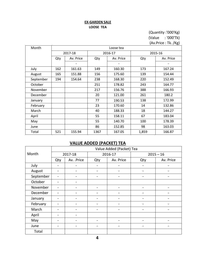#### **EX-GARDEN SALE LOOSE TEA**

(Quantity :'000'Kg) (Value : '000'Tk) (Av.Price : Tk. /Kg)

| Month     |     |           |      | Loose tea |       |           |
|-----------|-----|-----------|------|-----------|-------|-----------|
|           |     | 2017-18   |      | 2016-17   |       | 2015-16   |
|           | Qty | Av. Price | Qty  | Av. Price | Qty   | Av. Price |
|           |     |           |      |           |       |           |
| July      | 162 | 161.63    | 149  | 160.30    | 173   | 167.24    |
| August    | 165 | 151.88    | 156  | 175.60    | 139   | 154.44    |
| September | 194 | 154.64    | 238  | 168.30    | 220   | 152.49    |
| October   |     |           | 251  | 178.82    | 243   | 164.77    |
| November  |     |           | 217  | 156.76    | 388   | 166.93    |
| December  |     |           | 20   | 121.00    | 261   | 180.2     |
| January   |     |           | 77   | 190.53    | 138   | 172.99    |
| February  |     |           | 23   | 170.60    | 14    | 132.86    |
| March     |     |           | 40   | 188.33    | 18    | 144.27    |
| April     |     |           | 55   | 158.11    | 67    | 183.04    |
| May       |     |           | 55   | 140.70    | 100   | 178.39    |
| June      |     |           | 86   | 152.85    | 98    | 163.03    |
| Total     | 521 | 155.94    | 1367 | 167.05    | 1,859 | 166.87    |

#### **VALUE ADDED (PACKET) TEA**

|                                                                                                           |     |                              |                          | Value Added (Packet) Tea |                              |                          |
|-----------------------------------------------------------------------------------------------------------|-----|------------------------------|--------------------------|--------------------------|------------------------------|--------------------------|
| Month                                                                                                     |     | 2017-18                      |                          | 2016-17                  |                              | $2015 - 16$              |
| July<br>August<br>October<br>November<br>December<br>January<br>February<br>March<br>April<br>May<br>June | Qty | Av. .Price                   | Qty                      | Av. Price                | Qty                          | Av. Price                |
|                                                                                                           |     | $\overline{\phantom{0}}$     | $\overline{\phantom{a}}$ | -                        | $\overline{\phantom{0}}$     | $\overline{\phantom{0}}$ |
|                                                                                                           |     |                              | $\overline{\phantom{a}}$ |                          |                              |                          |
| September                                                                                                 |     |                              | -                        |                          |                              | $\overline{\phantom{0}}$ |
|                                                                                                           |     | $\qquad \qquad \blacksquare$ |                          |                          |                              |                          |
|                                                                                                           |     |                              |                          |                          |                              |                          |
|                                                                                                           |     |                              | -                        |                          |                              |                          |
|                                                                                                           |     | $\overline{\phantom{a}}$     | $\overline{\phantom{a}}$ | $\overline{\phantom{0}}$ | $\qquad \qquad \blacksquare$ | $\overline{\phantom{0}}$ |
|                                                                                                           |     |                              |                          |                          |                              |                          |
|                                                                                                           |     |                              | $\overline{\phantom{a}}$ |                          |                              |                          |
|                                                                                                           |     | $\overline{\phantom{a}}$     |                          |                          |                              |                          |
|                                                                                                           |     |                              |                          |                          |                              |                          |
|                                                                                                           |     |                              | $\overline{\phantom{a}}$ |                          | $\overline{\phantom{m}}$     | $\overline{\phantom{0}}$ |
| Total                                                                                                     |     |                              |                          |                          |                              |                          |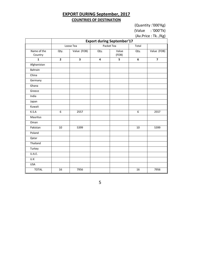#### **EXPORT DURING September, 2017 COUNTRIES OF DESTINATION**

(Quantity :'000'Kg)

(Value : '000'Tk)

(Av.Price : Tk. /Kg)

|                        | <b>Export during September'17</b> |             |      |                |       |                         |  |  |  |  |  |  |
|------------------------|-----------------------------------|-------------|------|----------------|-------|-------------------------|--|--|--|--|--|--|
|                        |                                   | Loose Tea   |      | Packet Tea     | Total |                         |  |  |  |  |  |  |
| Name of the<br>Country | Qty.                              | Value (FOB) | Qty. | Value<br>(FOB) | Qty.  | Value (FOB)             |  |  |  |  |  |  |
| $\mathbf{1}$           | $\mathbf{2}$                      | 3           | 4    | 5              | 6     | $\overline{\mathbf{z}}$ |  |  |  |  |  |  |
| Afghanistan            |                                   |             |      |                |       |                         |  |  |  |  |  |  |
| Bahrain                |                                   |             |      |                |       |                         |  |  |  |  |  |  |
| China                  |                                   |             |      |                |       |                         |  |  |  |  |  |  |
| Germany                |                                   |             |      |                |       |                         |  |  |  |  |  |  |
| Ghana                  |                                   |             |      |                |       |                         |  |  |  |  |  |  |
| Greece                 |                                   |             |      |                |       |                         |  |  |  |  |  |  |
| India                  |                                   |             |      |                |       |                         |  |  |  |  |  |  |
| Japan                  |                                   |             |      |                |       |                         |  |  |  |  |  |  |
| Kuwait                 |                                   |             |      |                |       |                         |  |  |  |  |  |  |
| K.S.A                  | $\boldsymbol{6}$                  | 2557        |      |                | 6     | 2557                    |  |  |  |  |  |  |
| Mauritus               |                                   |             |      |                |       |                         |  |  |  |  |  |  |
| Oman                   |                                   |             |      |                |       |                         |  |  |  |  |  |  |
| Pakistan               | 10                                | 5399        |      |                | 10    | 5399                    |  |  |  |  |  |  |
| Poland                 |                                   |             |      |                |       |                         |  |  |  |  |  |  |
| Qatar                  |                                   |             |      |                |       |                         |  |  |  |  |  |  |
| Thailand               |                                   |             |      |                |       |                         |  |  |  |  |  |  |
| Turkey                 |                                   |             |      |                |       |                         |  |  |  |  |  |  |
| U.A.E.                 |                                   |             |      |                |       |                         |  |  |  |  |  |  |
| U.K                    |                                   |             |      |                |       |                         |  |  |  |  |  |  |
| <b>USA</b>             |                                   |             |      |                |       |                         |  |  |  |  |  |  |
| <b>TOTAL</b>           | 16                                | 7956        |      |                | 16    | 7956                    |  |  |  |  |  |  |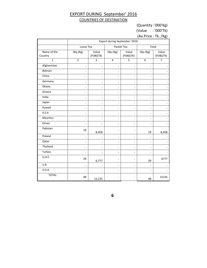#### EXPORT DURING September' 2016 COUNTRIES OF DESTINATION

(Quantity :'000'Kg)

(Value : '000'Tk)

(Av.Price : Tk. /Kg)

|                        | Export during September '2016 |                    |                          |                    |                          |                    |  |  |  |  |
|------------------------|-------------------------------|--------------------|--------------------------|--------------------|--------------------------|--------------------|--|--|--|--|
|                        | Loose Tea                     |                    |                          | Packet Tea         |                          | Total              |  |  |  |  |
| Name of the<br>Country | Qty.(Kg)                      | Value<br>(FOB)(TK) | Qty.(Kg)                 | Value<br>(FOB)(TK) | Qty.(Kg)                 | Value<br>(FOB)(TK) |  |  |  |  |
| $\mathbf{1}$           | $\overline{2}$                | $\overline{3}$     | $\overline{4}$           | 5                  | 6                        | $\overline{7}$     |  |  |  |  |
| Afghanistan            |                               |                    |                          | -                  |                          |                    |  |  |  |  |
| <b>Bahrain</b>         |                               |                    |                          |                    |                          |                    |  |  |  |  |
| China                  |                               |                    |                          | L,                 | $\overline{\phantom{a}}$ |                    |  |  |  |  |
| Germany                |                               |                    |                          |                    | ÷                        |                    |  |  |  |  |
| Ghana                  |                               |                    |                          |                    |                          |                    |  |  |  |  |
| Greece                 |                               |                    | ä,                       |                    | ÷                        |                    |  |  |  |  |
| India                  |                               |                    |                          |                    | $\overline{\phantom{a}}$ |                    |  |  |  |  |
| Japan                  |                               |                    |                          |                    | ÷                        |                    |  |  |  |  |
| Kuwait                 |                               |                    |                          |                    | ۰                        |                    |  |  |  |  |
| K.S.A                  |                               |                    |                          |                    | ÷                        |                    |  |  |  |  |
| Mauritus               |                               | ٠                  | $\sim$                   | ä,                 | $\overline{\phantom{a}}$ |                    |  |  |  |  |
| Oman                   |                               |                    |                          |                    |                          |                    |  |  |  |  |
| Pakistan               | 19                            | 8,458              |                          |                    | 19                       | 8,458              |  |  |  |  |
| Poland                 |                               |                    | $\overline{\phantom{a}}$ |                    |                          |                    |  |  |  |  |
| Qatar                  |                               |                    |                          |                    | $\overline{\phantom{a}}$ |                    |  |  |  |  |
| Thailand               |                               |                    |                          |                    | $\overline{\phantom{a}}$ |                    |  |  |  |  |
| Turkey                 |                               |                    |                          |                    |                          |                    |  |  |  |  |
| U.A.E.                 | 29                            | 6,777              |                          |                    | 29                       | 6777               |  |  |  |  |
| U.K                    |                               |                    |                          |                    | ÷                        |                    |  |  |  |  |
| U.S.A                  |                               |                    |                          |                    |                          |                    |  |  |  |  |
| <b>TOTAL</b>           | 48                            | 15,235             |                          |                    | 48                       | 15235              |  |  |  |  |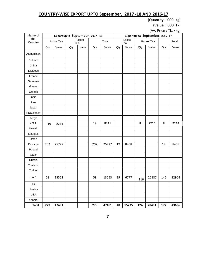#### **COUNTRY-WISE EXPORT UPTO September, 2017 -18 AND 2016-17**

(Quantity : '000' Kg)

(Value : '000' Tk)

(Av. Price : Tk. /Kg)

| Name of        | Export up to September, 2017 - 18 |           |     |        |     |       | וסיי ויייי י - - ייי יי<br>Export up to September, 2016 - 17 |              |     |            |     |       |
|----------------|-----------------------------------|-----------|-----|--------|-----|-------|--------------------------------------------------------------|--------------|-----|------------|-----|-------|
| the<br>Country |                                   | Loose Tea | Tea | Packet |     | Total |                                                              | Loose<br>Tea |     | Packet Tea |     | Total |
|                | Qty                               | Value     | Qty | Value  | Qty | Value | Qty                                                          | Value        | Qty | Value      | Qty | Value |
| Afghanistan    |                                   |           |     |        |     |       |                                                              |              |     |            |     |       |
| Bahrain        |                                   |           |     |        |     |       |                                                              |              |     |            |     |       |
| China          |                                   |           |     |        |     |       |                                                              |              |     |            |     |       |
| Digibouti      |                                   |           |     |        |     |       |                                                              |              |     |            |     |       |
| France         |                                   |           |     |        |     |       |                                                              |              |     |            |     |       |
| Germany        |                                   |           |     |        |     |       |                                                              |              |     |            |     |       |
| Ghana          |                                   |           |     |        |     |       |                                                              |              |     |            |     |       |
| Greece         |                                   |           |     |        |     |       |                                                              |              |     |            |     |       |
| India          |                                   |           |     |        |     |       |                                                              |              |     |            |     |       |
| Iran           |                                   |           |     |        |     |       |                                                              |              |     |            |     |       |
| Japan          |                                   |           |     |        |     |       |                                                              |              |     |            |     |       |
| Kazakhstan     |                                   |           |     |        |     |       |                                                              |              |     |            |     |       |
| Kenya          |                                   |           |     |        |     |       |                                                              |              |     |            |     |       |
| K.S.A.         | 19                                | 8211      |     |        | 19  | 8211  |                                                              |              | 8   | 2214       | 8   | 2214  |
| Kuwait         |                                   |           |     |        |     |       |                                                              |              |     |            |     |       |
| Mauritus       |                                   |           |     |        |     |       |                                                              |              |     |            |     |       |
| Oman           |                                   |           |     |        |     |       |                                                              |              |     |            |     |       |
| Pakistan       | 202                               | 25727     |     |        | 202 | 25727 | 19                                                           | 8458         |     |            | 19  | 8458  |
| Poland         |                                   |           |     |        |     |       |                                                              |              |     |            |     |       |
| Qatar          |                                   |           |     |        |     |       |                                                              |              |     |            |     |       |
| Russia         |                                   |           |     |        |     |       |                                                              |              |     |            |     |       |
| Thailand       |                                   |           |     |        |     |       |                                                              |              |     |            |     |       |
| Turkey         |                                   |           |     |        |     |       |                                                              |              |     |            |     |       |
| U.A.E.         | 58                                | 13553     |     |        | 58  | 13553 | 29                                                           | 6777         | 116 | 26187      | 145 | 32964 |
| U.K.           |                                   |           |     |        |     |       |                                                              |              |     |            |     |       |
| Ukraine        |                                   |           |     |        |     |       |                                                              |              |     |            |     |       |
| <b>USA</b>     |                                   |           |     |        |     |       |                                                              |              |     |            |     |       |
| Others         |                                   |           |     |        |     |       |                                                              |              |     |            |     |       |
| <b>Total</b>   | 279                               | 47491     |     |        | 279 | 47491 | 48                                                           | 15235        | 124 | 28401      | 172 | 43636 |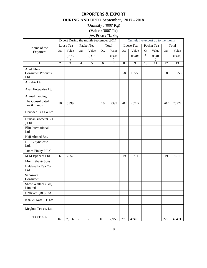#### **EXPORTERS & EXPORT DURING AND UPTO September, 2017 - 2018**

(Quantity : '000' Kg) (Value : '000' Tk) (Av. Price : Tk. /Kg

|                                                |                | Export During the month September, 2017 |                          |                              |     |                |     | Cumulative export up to the month |    |                 |     |       |
|------------------------------------------------|----------------|-----------------------------------------|--------------------------|------------------------------|-----|----------------|-----|-----------------------------------|----|-----------------|-----|-------|
| Name of the                                    |                | Loose Tea                               |                          | Packet Tea                   |     | Total          |     | Loose Tea                         |    | Packet Tea      |     | Total |
| Exporters                                      | Qty            | Value                                   | Qty                      | Value                        | Qty | Value          | Qty | Value                             | Qt | Value           | Qty | Value |
|                                                |                | (FOB)                                   |                          | (FOB)                        |     | (FOB           |     | (FOB)                             | y  | (FOB)           |     | (FOB) |
| $\mathbf{1}$                                   | $\overline{2}$ | 3                                       | $\overline{4}$           | $\overline{5}$               | 6   | $\overline{7}$ | 8   | 9                                 | 10 | $\overline{11}$ | 12  | 13    |
| Abul Khair<br><b>Consumer Products</b><br>Ltd. |                |                                         |                          |                              |     |                | 58  | 13553                             |    |                 | 58  | 13553 |
| A.Kabir Ltd                                    |                |                                         |                          |                              |     |                |     |                                   |    |                 |     |       |
| Azad Enterprise Ltd.                           |                |                                         |                          |                              |     |                |     |                                   |    |                 |     |       |
| <b>Ahmad Trading</b>                           |                |                                         |                          |                              |     |                |     |                                   |    |                 |     |       |
| The Consolidated<br>Tea & Lands                | 10             | 5399                                    |                          |                              | 10  | 5399           | 202 | 25727                             |    |                 | 202 | 25727 |
| Deundee Tea Co.Ltd                             |                |                                         |                          |                              |     |                |     |                                   |    |                 |     |       |
| DuncanBrothers(BD<br>) Ltd                     |                |                                         |                          |                              |     |                |     |                                   |    |                 |     |       |
| EliteInternational<br>Ltd                      |                |                                         |                          |                              |     |                |     |                                   |    |                 |     |       |
| Haji Ahmed Brs.                                |                |                                         |                          |                              |     |                |     |                                   |    |                 |     |       |
| H.R.C.Syndicate<br>Ltd.                        |                |                                         |                          |                              |     |                |     |                                   |    |                 |     |       |
| James Finlay P.L.C.                            |                |                                         |                          |                              |     |                |     |                                   |    |                 |     |       |
| M.M.Ispahani Ltd.                              | 6              | 2557                                    |                          |                              |     |                | 19  | 8211                              |    |                 | 19  | 8211  |
| Monir Sha & Sons                               |                |                                         |                          |                              |     |                |     |                                   |    |                 |     |       |
| Haldavelly Tea Co.<br>Ltd                      |                |                                         |                          |                              |     |                |     |                                   |    |                 |     |       |
| Sanowara<br>Consumer.                          |                |                                         |                          |                              |     |                |     |                                   |    |                 |     |       |
| Shaw Wallace (BD)<br>Limited                   |                |                                         |                          |                              |     |                |     |                                   |    |                 |     |       |
| Unilever (BD) Ltd.                             |                |                                         |                          |                              |     |                |     |                                   |    |                 |     |       |
| Kazi & Kazi T.E Ltd                            |                |                                         |                          |                              |     |                |     |                                   |    |                 |     |       |
| Meghna Tea co. Ltd                             |                |                                         |                          |                              |     |                |     |                                   |    |                 |     |       |
| TOTAL                                          | 16             | 7,956                                   | $\overline{\phantom{a}}$ | $\qquad \qquad \blacksquare$ | 16  | 7,956          | 279 | 47491                             |    |                 | 279 | 47491 |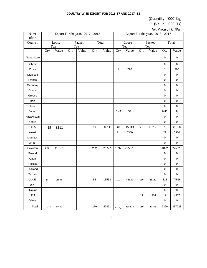#### **COUNTRY-WISE EXPORT FOR 2016-17 AND 2017 -18**

(Quantity : '000' Kg)

(Value : '000' Tk)

(Av. Price : Tk. /Kg)

| Name<br>ofthe | Export For the year, 2017 - 2018 |       |               |       |       |       | <u>، ب</u><br>Export For the year, 2016 - 2017 |        |               |       |                  |             |
|---------------|----------------------------------|-------|---------------|-------|-------|-------|------------------------------------------------|--------|---------------|-------|------------------|-------------|
| Country       | Loose<br>Tea                     |       | Packet<br>Tea |       | Total |       | Loose<br>Tea                                   |        | Packet<br>Tea |       | Total            |             |
|               | Qty                              | Value | Qty           | Value | Qty   | Value | Qty                                            | Value  | Qty           | Value | Qty              | Value       |
| Afghanistan   |                                  |       |               |       |       |       |                                                |        |               |       | 0                | $\pmb{0}$   |
| Bahrain       |                                  |       |               |       |       |       |                                                |        |               |       | 0                | $\mathbf 0$ |
| China         |                                  |       |               |       |       |       | $\mathbf{1}$                                   | 790    |               |       | $\mathbf{1}$     | 790         |
| Digibouti     |                                  |       |               |       |       |       |                                                |        |               |       | $\pmb{0}$        | $\pmb{0}$   |
| France        |                                  |       |               |       |       |       |                                                |        |               |       | $\boldsymbol{0}$ | $\pmb{0}$   |
| Germany       |                                  |       |               |       |       |       |                                                |        |               |       | $\pmb{0}$        | $\pmb{0}$   |
| Ghana         |                                  |       |               |       |       |       |                                                |        |               |       | 0                | $\pmb{0}$   |
| Greece        |                                  |       |               |       |       |       |                                                |        |               |       | $\mathbf 0$      | $\mathbf 0$ |
| India         |                                  |       |               |       |       |       |                                                |        |               |       | $\pmb{0}$        | $\mathbf 0$ |
| Iran          |                                  |       |               |       |       |       |                                                |        |               |       | 0                | $\pmb{0}$   |
| Japan         |                                  |       |               |       |       |       | 0.43                                           | 34     |               |       | 0.43             | 34          |
| Kazakhstan    |                                  |       |               |       |       |       |                                                |        |               |       | $\mathbf 0$      | $\pmb{0}$   |
| Kenya         |                                  |       |               |       |       |       |                                                |        |               |       | 0                | $\pmb{0}$   |
| K.S.A.        | 19                               | 8211  |               |       | 19    | 8211  | 48                                             | 15013  | 28            | 10755 | 76               | 25768       |
| Kuwait        |                                  |       |               |       |       |       | 21                                             | 5380   |               |       | 21               | 5380        |
| Mauritus      |                                  |       |               |       |       |       |                                                |        |               |       | $\pmb{0}$        | $\pmb{0}$   |
| Oman          |                                  |       |               |       |       |       |                                                |        |               |       | $\mathbf 0$      | $\pmb{0}$   |
| Pakistan      | 202                              | 25727 |               |       | 202   | 25727 | 1892                                           | 225828 |               |       | 1892             | 225828      |
| Poland        |                                  |       |               |       |       |       |                                                |        |               |       | 0                | $\pmb{0}$   |
| Qatar         |                                  |       |               |       |       |       |                                                |        |               |       | $\mathbf 0$      | $\mathbf 0$ |
| Russia        |                                  |       |               |       |       |       |                                                |        |               |       | $\pmb{0}$        | $\pmb{0}$   |
| Thailand      |                                  |       |               |       |       |       |                                                |        |               |       | 0                | $\mathbf 0$ |
| Turkey        |                                  |       |               |       |       |       |                                                |        |               |       | $\pmb{0}$        | $\mathbf 0$ |
| U.A.E.        | 58                               | 13553 |               |       | 58    | 13553 | 202                                            | 48329  | 116           | 26187 | 318              | 74516       |
| U.K.          |                                  |       |               |       |       |       |                                                |        |               |       | $\pmb{0}$        | $\pmb{0}$   |
| Ukraine       |                                  |       |               |       |       |       |                                                |        |               |       | $\pmb{0}$        | $\mathbf 0$ |
| <b>USA</b>    |                                  |       |               |       |       |       |                                                |        | 12            | 4907  | 12               | 4907        |
| Others        |                                  |       |               |       |       |       |                                                |        |               |       | 0                | $\pmb{0}$   |
| Total         | 279                              | 47491 |               |       | 279   | 47491 | 2,164                                          | 295374 | 156           | 41849 | 2320             | 337223      |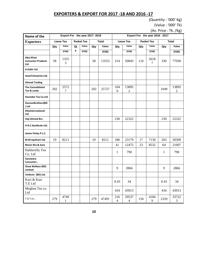#### **EXPORTERS & EXPORT FOR 2017 -18 AND 2016 -17**

(Quantity : '000' Kg)

(Value : '000' Tk)

(Av. Price : Tk. /Kg)

| Name of the                                          | Export For the year 2017-2018 |           |            |       |              |       | Export For the year 2016 - 2017 |                           |            |           |      |                         |
|------------------------------------------------------|-------------------------------|-----------|------------|-------|--------------|-------|---------------------------------|---------------------------|------------|-----------|------|-------------------------|
| <b>Exporters</b>                                     | Loose Tea                     |           | Packet Tea |       | <b>Total</b> |       | <b>Loose Tea</b>                |                           | Packet Tea |           |      | <b>Total</b>            |
|                                                      | Qty                           | Value     | Qt         | Value | Qty          | Value | Qty                             | Value                     | Qty        | Value     | Qty  | Value                   |
|                                                      |                               | (FOB)     | y          | (FOB) |              | (FOB) |                                 | (FOB)                     |            | (FOB)     |      | (FOB)                   |
| <b>Abul Khair</b><br><b>Consumer Products</b><br>Ltd | 58                            | 1355<br>3 |            |       | 58           | 13553 | 214                             | 50843                     | 116        | 2618<br>7 | 330  | 77030                   |
| A.Kabir Ltd                                          |                               |           |            |       |              |       |                                 |                           |            |           |      |                         |
| Azad Enterprise Ltd.                                 |                               |           |            |       |              |       |                                 |                           |            |           |      |                         |
| <b>Ahmad Trading</b>                                 |                               |           |            |       |              |       |                                 |                           |            |           |      |                         |
| <b>The Consolidated</b><br>Tea & Lands               | 202                           | 2572<br>7 |            |       | 202          | 25727 | 104<br>9                        | 13895<br>$\boldsymbol{2}$ |            |           | 1049 | 13895<br>$\mathfrak{2}$ |
| <b>Deundee Tea Co.Ltd</b>                            |                               |           |            |       |              |       |                                 |                           |            |           |      |                         |
| DuncanBrothers(BD<br>) Ltd                           |                               |           |            |       |              |       |                                 |                           |            |           |      |                         |
| EliteInternational<br>Ltd                            |                               |           |            |       |              |       |                                 |                           |            |           |      |                         |
| Haji Ahmed Brs.                                      |                               |           |            |       |              |       | 230                             | 22322                     |            |           | 230  | 22322                   |
| H.R.C.Syndicate Ltd.                                 |                               |           |            |       |              |       |                                 |                           |            |           |      |                         |
| James Finlay P.L.C.                                  |                               |           |            |       |              |       |                                 |                           |            |           |      |                         |
| M.M.Ispahani Ltd.                                    | 19                            | 8211      |            |       | 19           | 8211  | 186                             | 23179                     | 17         | 7130      | 203  | 30309                   |
| Monir Sha & Sons                                     |                               |           |            |       |              |       | 41                              | 12475                     | 23         | 8532      | 64   | 21007                   |
| Haldavelly Tea<br>Co. Ltd                            |                               |           |            |       |              |       | 1                               | 790                       |            |           | 1    | 790                     |
| Sanowara<br>Consumer                                 |                               |           |            |       |              |       |                                 |                           |            |           |      |                         |
| Shaw Wallace (BD)<br>Limited                         |                               |           |            |       |              |       | 9                               | 2866                      |            |           | 9    | 2866                    |
| Unilever (BD) Ltd.                                   |                               |           |            |       |              |       |                                 |                           |            |           |      |                         |
| Kazi & Kazi<br>T.E Ltd                               |                               |           |            |       |              |       | 0.43                            | 34                        |            |           | 0.43 | 34                      |
| Meghna Tea co.<br>Ltd                                |                               |           |            |       |              |       | 434                             | 43913                     |            |           | 434  | 43913                   |
| TOTAL                                                | 279                           | 4749<br>1 |            |       | 279          | 47491 | 216<br>$\overline{\mathbf{4}}$  | 29537<br>$\overline{4}$   | 156        | 4184<br>9 | 2320 | 33722<br>3              |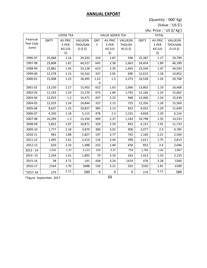#### **ANNUAL EXPORT**

(Quantity : '000' Kg) (Value : 'US \$') (Av. Price : ' US \$/ Kg')

|             | $\frac{1}{2}$ intervent of $\frac{1}{2}$ |                  |             |                  |                        |               |              |         |                |  |
|-------------|------------------------------------------|------------------|-------------|------------------|------------------------|---------------|--------------|---------|----------------|--|
|             |                                          | <b>LOOSE TEA</b> |             |                  | <b>VALUE ADDED TEA</b> |               | <b>TOTAL</b> |         |                |  |
| Financial   | QNTY                                     | AV.PRIC          | VALUE(IN    | QNT              | AV.PRIC                | VALUE(IN      | <b>QNTY</b>  | AV.PRIC | VALUE(IN       |  |
| Year (July  |                                          | E PER            | THOUSAN     | Υ                | E PER                  | <b>THOUSA</b> |              | E PER   | <b>THOUSAN</b> |  |
| -June)      |                                          | KG.(US           | $D(S, \xi)$ |                  | KG (US                 | $N)$ (S \$)   |              | KG (US  | D US \$)       |  |
|             |                                          | \$)              |             |                  | \$)                    |               |              | \$)     |                |  |
| 1996-97     | 25,068                                   | 1.16             | 29,203      | 319              | 1.87                   | 596           | 25,387       | 1.17    | 29,799         |  |
| 1997-98     | 23,808                                   | 1.87             | 44,527      | 645              | 2.58                   | 1,662         | 24,454       | 1.89    | 46,189         |  |
| 1998-99     | 22,881                                   | 1.45             | 33,128      | 623              | 2.35                   | 1,465         | 23,504       | 1.47    | 34,593         |  |
| 1999-00     | 12,278                                   | 1.15             | 14,162      | 337              | 2.05                   | 690           | 12,615       | 1.18    | 14,852         |  |
| 2000-01     | 15,008                                   | 1.23             | 18,495      | 1,52             | $1.5\,$                | 2,273         | 16,528       | 1.26    | 20,768         |  |
|             |                                          |                  |             | $\boldsymbol{0}$ |                        |               |              |         |                |  |
| 2001-02     | 13,150                                   | 1.17             | 15,402      | 652              | 1.63                   | 1,066         | 13,802       | 1.19    | 16,468         |  |
| 2002-03     | 11,193                                   | 1.19             | 13,270      | 973              | 1.84                   | 1,792         | 12,166       | 1.24    | 15,062         |  |
| 2003-04     | 12,023                                   | 1.2              | 14,471      | 437              | 2.22                   | 968           | 12,460       | 1.24    | 15,439         |  |
| 2004-05     | 12,019                                   | 1.24             | 14,844      | 337              | 2.15                   | 725           | 12,356       | 1.26    | 15,569         |  |
| 2005-06     | 8,637                                    | 1.25             | 10,827      | 385              | 2.13                   | 822           | 9,022        | 1.29    | 11,649         |  |
| 2006-07     | 4,350                                    | 1.18             | 5,115       | 478              | 2.3                    | 1,101         | 4,828        | 1.29    | 6,216          |  |
| 2007-08     | 10,299                                   | 1.3              | 13,350      | 499              | 2.37                   | 1,183         | 10,798       | 1.35    | 14,533         |  |
| 2008-09     | 5,822                                    | 1.87             | 10,871      | 329              | 2.59                   | 852           | 6,151        | 1.91    | 11,723         |  |
| 2009-10     | 1,777                                    | 2.18             | 3,879       | 300              | 3.02                   | 906           | 2,077        | 2.3     | 4,785          |  |
| 2010-11     | 963                                      | 1.88             | 1,827       | 197              | 3.77                   | 742           | 1,160        | 2.21    | 2,569          |  |
| 2011-12     | 1,495                                    | 1.61             | 2,414       | 116              | 3.44                   | 399           | 1,611        | 1.75    | 2,813          |  |
| 2012-13     | 620                                      | 2.24             | 1,388       | 232              | 2.84                   | 658           | 852          | 2.4     | 2,046          |  |
| $2013 - 14$ | 1,542                                    | 1.37             | 2,113       | 224              | 3.37                   | 754           | 1,766        | 1.62    | 2,867          |  |
| 2014 - 15   | 1,334                                    | 1.41             | 1,892       | 79               | 3.33                   | 263           | 1,413        | 1.53    | 2,155          |  |
| 2015-16     | 38                                       | 3.71             | 141         | 438              | 3.24                   | 1419          | 476          | 3.28    | 1560           |  |
| 2016-17     | 2164                                     | 1.70             | 3688        | 156              | 3.21                   | 501           | 2320         | 1.81    | 4189           |  |
| *2017-18    | 279                                      | 2.11             | 589         | $\pmb{0}$        | $\pmb{0}$              | $\pmb{0}$     | 279          | 2.11    | 589            |  |

\*Figure September, 2017 **11**